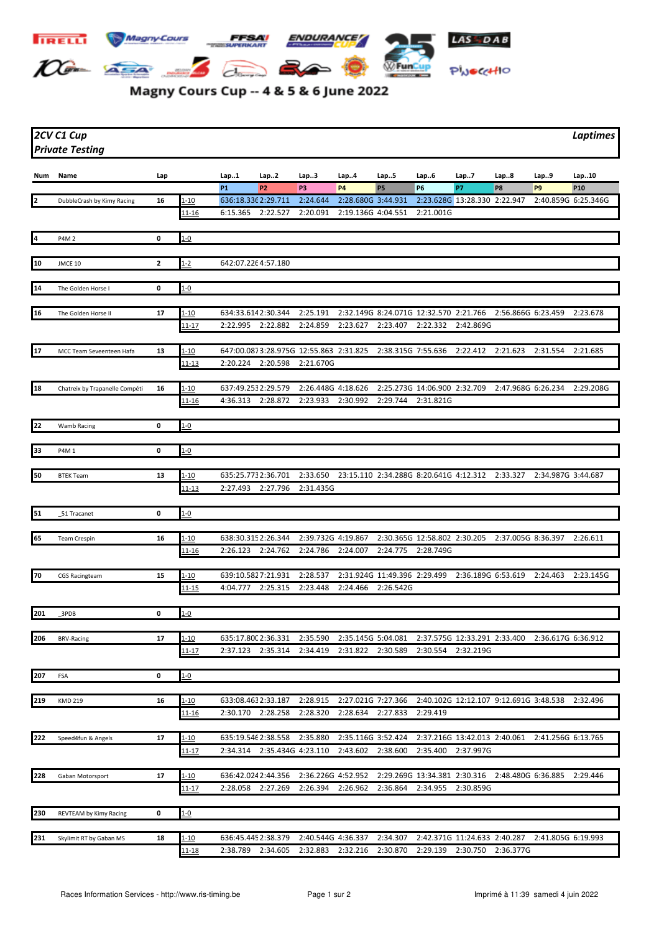

## Magny Cours Cup -- 4 & 5 & 6 June 2022

| 2CV C1 Cup             | Laptimes |
|------------------------|----------|
| <b>Private Testing</b> |          |

| Num | Name                           | Lap          |                        | Lap1                           | Lap.2                                  | Lap3                           | Lap4                                            | Lap5                         | Lap6                                      | Lap7                         | Lap8               | Lap9                                   | Lap10           |
|-----|--------------------------------|--------------|------------------------|--------------------------------|----------------------------------------|--------------------------------|-------------------------------------------------|------------------------------|-------------------------------------------|------------------------------|--------------------|----------------------------------------|-----------------|
|     |                                |              |                        | <b>P1</b>                      | P <sub>2</sub>                         | P3                             | <b>P4</b>                                       | <b>P5</b>                    | <b>P6</b>                                 | <b>P7</b>                    | P8                 | P <sub>9</sub>                         | P <sub>10</sub> |
| 2   | DubbleCrash by Kimy Racing     | 16           | $1 - 10$               | 636:18.336 2:29.711            |                                        | 2:24.644                       | 2:28.680G 3:44.931                              |                              | 2:23.628G 13:28.330 2:22.947              |                              |                    | 2:40.859G 6:25.346G                    |                 |
|     |                                |              | <u> 11-16</u>          | 6:15.365                       | 2:22.527                               | 2:20.091                       | 2:19.136G 4:04.551                              |                              | 2:21.001G                                 |                              |                    |                                        |                 |
|     |                                |              |                        |                                |                                        |                                |                                                 |                              |                                           |                              |                    |                                        |                 |
| 4   | P4M 2                          | 0            | $1 - 0$                |                                |                                        |                                |                                                 |                              |                                           |                              |                    |                                        |                 |
|     |                                |              |                        |                                |                                        |                                |                                                 |                              |                                           |                              |                    |                                        |                 |
| 10  | JMCE 10                        | $\mathbf{2}$ | $1 - 2$                | 642:07.2264:57.180             |                                        |                                |                                                 |                              |                                           |                              |                    |                                        |                 |
| 14  | The Golden Horse I             | 0            | $1 - 0$                |                                |                                        |                                |                                                 |                              |                                           |                              |                    |                                        |                 |
|     |                                |              |                        |                                |                                        |                                |                                                 |                              |                                           |                              |                    |                                        |                 |
| 16  | The Golden Horse II            | 17           | 1-10                   | 634:33.6142:30.344             |                                        | 2:25.191                       |                                                 |                              | 2:32.149G 8:24.071G 12:32.570 2:21.766    |                              | 2:56.866G 6:23.459 |                                        | 2:23.678        |
|     |                                |              | 11-17                  | 2:22.995                       | 2:22.882                               | 2:24.859                       | 2:23.627                                        | 2:23.407                     | 2:22.332                                  | 2:42.869G                    |                    |                                        |                 |
|     |                                |              |                        |                                |                                        |                                |                                                 |                              |                                           |                              |                    |                                        |                 |
| 17  | MCC Team Seveenteen Hafa       | 13           | $1 - 10$               |                                | 647:00.0873:28.975G 12:55.863 2:31.825 |                                |                                                 | 2:38.315G 7:55.636           |                                           | 2:22.412                     | 2:21.623           | 2:31.554                               | 2:21.685        |
|     |                                |              | $11 - 13$              |                                | 2:20.224 2:20.598 2:21.670G            |                                |                                                 |                              |                                           |                              |                    |                                        |                 |
|     |                                |              |                        |                                |                                        |                                |                                                 |                              |                                           |                              |                    |                                        |                 |
| 18  | Chatreix by Trapanelle Compéti | 16           | $1 - 10$               | 637:49.2532:29.579             |                                        | 2:26.448G 4:18.626             |                                                 |                              | 2:25.273G 14:06.900 2:32.709              |                              | 2:47.968G 6:26.234 |                                        | 2:29.208G       |
|     |                                |              | <u> 11-16</u>          | 4:36.313 2:28.872              |                                        | 2:23.933                       | 2:30.992                                        | 2:29.744                     | 2:31.821G                                 |                              |                    |                                        |                 |
| 22  | Wamb Racing                    | 0            | $1 - 0$                |                                |                                        |                                |                                                 |                              |                                           |                              |                    |                                        |                 |
|     |                                |              |                        |                                |                                        |                                |                                                 |                              |                                           |                              |                    |                                        |                 |
| 33  | P4M 1                          | 0            | $1 - 0$                |                                |                                        |                                |                                                 |                              |                                           |                              |                    |                                        |                 |
|     |                                |              |                        |                                |                                        |                                |                                                 |                              |                                           |                              |                    |                                        |                 |
| 50  | <b>BTEK Team</b>               | 13           | $1 - 10$               | 635:25.7732:36.701             |                                        | 2:33.650                       | 23:15.110 2:34.288G 8:20.641G 4:12.312 2:33.327 |                              |                                           |                              |                    | 2:34.987G 3:44.687                     |                 |
|     |                                |              | 11-13                  |                                | 2:27.493 2:27.796                      | 2:31.435G                      |                                                 |                              |                                           |                              |                    |                                        |                 |
|     |                                |              |                        |                                |                                        |                                |                                                 |                              |                                           |                              |                    |                                        |                 |
| 51  | 51 Tracanet                    | 0            | $1 - 0$                |                                |                                        |                                |                                                 |                              |                                           |                              |                    |                                        |                 |
|     |                                |              |                        |                                |                                        |                                |                                                 |                              |                                           |                              |                    |                                        |                 |
| 65  | <b>Team Crespin</b>            | 16           | $-10$<br><u> 11-16</u> | 638:30.3152:26.344<br>2:26.123 | 2:24.762                               | 2:39.732G 4:19.867<br>2:24.786 | 2:24.007                                        | 2:24.775                     | 2:30.365G 12:58.802 2:30.205<br>2:28.749G |                              | 2:37.005G 8:36.397 |                                        | 2:26.611        |
|     |                                |              |                        |                                |                                        |                                |                                                 |                              |                                           |                              |                    |                                        |                 |
| 70  | <b>CGS Racingteam</b>          | 15           | 1-10                   | 639:10.5827:21.931             |                                        | 2:28.537                       |                                                 | 2:31.924G 11:49.396 2:29.499 |                                           | 2:36.189G 6:53.619           |                    | 2:24.463                               | 2:23.145G       |
|     |                                |              | 11-15                  | 4:04.777 2:25.315              |                                        | 2:23.448                       | 2:24.466                                        | 2:26.542G                    |                                           |                              |                    |                                        |                 |
|     |                                |              |                        |                                |                                        |                                |                                                 |                              |                                           |                              |                    |                                        |                 |
| 201 | _3PDB                          | 0            | $1 - 0$                |                                |                                        |                                |                                                 |                              |                                           |                              |                    |                                        |                 |
|     |                                |              |                        |                                |                                        |                                |                                                 |                              |                                           |                              |                    |                                        |                 |
| 206 | <b>BRV-Racing</b>              | 17           | <u>1-10</u>            | 635:17.800 2:36.331            |                                        | 2:35.590                       | 2:35.145G 5:04.081                              |                              |                                           | 2:37.575G 12:33.291 2:33.400 |                    | 2:36.617G 6:36.912                     |                 |
|     |                                |              | $11 - 17$              | 2:37.123                       | 2:35.314                               | 2:34.419                       | 2:31.822                                        | 2:30.589                     | 2:30.554                                  | 2:32.219G                    |                    |                                        |                 |
| 207 |                                | 0            |                        |                                |                                        |                                |                                                 |                              |                                           |                              |                    |                                        |                 |
|     | FSA                            |              | $1 - 0$                |                                |                                        |                                |                                                 |                              |                                           |                              |                    |                                        |                 |
| 219 | <b>KMD 219</b>                 | 16           | $1 - 10$               | 633:08.4632:33.187             |                                        | 2:28.915                       | 2:27.021G 7:27.366                              |                              |                                           |                              |                    | 2:40.102G 12:12.107 9:12.691G 3:48.538 | 2:32.496        |
|     |                                |              | 11-16                  | 2:30.170 2:28.258              |                                        | 2:28.320                       | 2:28.634                                        | 2:27.833                     | 2:29.419                                  |                              |                    |                                        |                 |
|     |                                |              |                        |                                |                                        |                                |                                                 |                              |                                           |                              |                    |                                        |                 |
| 222 | Speed4fun & Angels             | 17           | 1-10                   | 635:19.546 2:38.558            |                                        | 2:35.880                       | 2:35.116G 3:52.424                              |                              |                                           | 2:37.216G 13:42.013 2:40.061 |                    | 2:41.256G 6:13.765                     |                 |
|     |                                |              | 11-17                  | 2:34.314                       | 2:35.434G 4:23.110                     |                                | 2:43.602                                        | 2:38.600                     | 2:35.400                                  | 2:37.997G                    |                    |                                        |                 |
|     |                                |              |                        |                                |                                        |                                |                                                 |                              |                                           |                              |                    |                                        |                 |
| 228 | Gaban Motorsport               | 17           | $1 - 10$               | 636:42.0242:44.356             |                                        | 2:36.226G 4:52.952             |                                                 |                              | 2:29.269G 13:34.381 2:30.316              |                              | 2:48.480G 6:36.885 |                                        | 2:29.446        |
|     |                                |              | <u> 11-17</u>          | 2:28.058                       | 2:27.269                               | 2:26.394                       | 2:26.962                                        | 2:36.864                     | 2:34.955                                  | 2:30.859G                    |                    |                                        |                 |
|     |                                |              |                        |                                |                                        |                                |                                                 |                              |                                           |                              |                    |                                        |                 |
| 230 | REVTEAM by Kimy Racing         | 0            | $1 - 0$                |                                |                                        |                                |                                                 |                              |                                           |                              |                    |                                        |                 |
| 231 | Skylimit RT by Gaban MS        | 18           | <u>1-10</u>            | 636:45.4452:38.379             |                                        | 2:40.544G 4:36.337             |                                                 | 2:34.307                     |                                           | 2:42.371G 11:24.633 2:40.287 |                    | 2:41.805G 6:19.993                     |                 |
|     |                                |              | $11 - 18$              | 2:38.789                       | 2:34.605                               | 2:32.883                       | 2:32.216                                        | 2:30.870                     | 2:29.139                                  | 2:30.750                     | 2:36.377G          |                                        |                 |